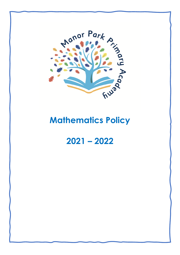

# **Mathematics Policy**

## **2021 – 2022**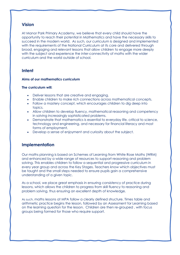## **Vision**

At Manor Park Primary Academy, we believe that every child should have the opportunity to reach their potential in Mathematics and have the necessary skills to succeed in the modern world. As such, our curriculum is designed and implemented with the requirements of the National Curriculum at its core and delivered through broad, engaging and relevant lessons that allow children to engage more deeply with the subject and experience the inter-connectivity of maths with the wider curriculum and the world outside of school.

### **Intent**

#### **Aims of our mathematics curriculum**

#### **The curriculum will:**

- Deliver lessons that are creative and engaging.
- Enable children to make rich connections across mathematical concepts.
- Follow a mastery concept, which encourages children to dig deep into topics.
- Allow children to develop fluency, mathematical reasoning and competency in solving increasingly sophisticated problems.
- Demonstrate that mathematics is essential to everyday life, critical to science, technology and engineering, and necessary for financial literacy and most forms of employment.
- Develop a sense of enjoyment and curiosity about the subject.

## **Implementation**

Our maths planning is based on Schemes of Learning from White Rose Maths (WRM) and enhanced by a wide range of resources to support reasoning and problem solving. This enables children to follow a sequential and progressive curriculum in every year group and across the Key Stages. Teachers know which objectives must be taught and the small steps needed to ensure pupils gain a comprehensive understanding of a given topic.

As a school, we place great emphasis in ensuring consistency of practice during lessons, which allows the children to progress from skill fluency to reasoning and problem solving, thus ensuring an excellent depth of knowledge.

As such, maths lessons at MPA follow a clearly defined structure. Times table and arithmetic practice begins the lesson, followed by an Assessment for Learning based on the learning question for the lesson. Children are then re-grouped , with focus groups being formed for those who require support.